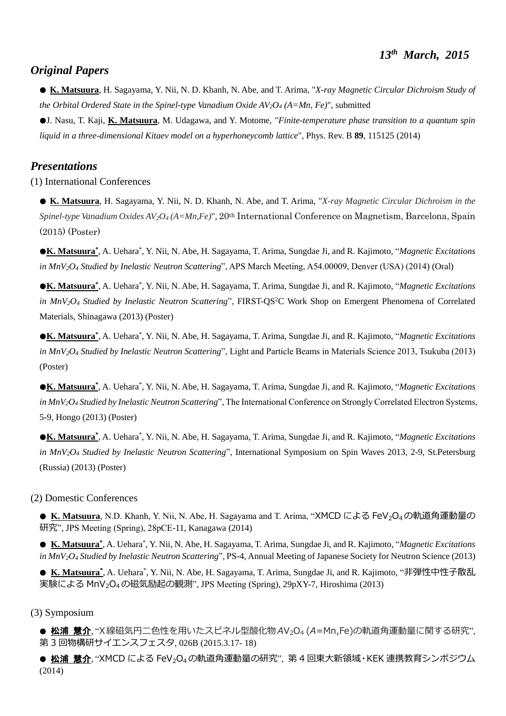### *Original Papers*

● **K. Matsuura**, H. Sagayama, Y. Nii, N. D. Khanh, N. Abe, and T. Arima, "*X-ray Magnetic Circular Dichroism Study of the Orbital Ordered State in the Spinel-type Vanadium Oxide AV2O<sup>4</sup> (A=Mn, Fe)*", submitted

●J. Nasu, T. Kaji, **K. Matsuura**, M. Udagawa, and Y. Motome, "*Finite-temperature phase transition to a quantum spin liquid in a three-dimensional Kitaev model on a hyperhoneycomb lattice*", Phys. Rev. B **89**, 115125 (2014)

## *Presentations*

(1) International Conferences

● **K. Matsuura**, H. Sagayama, Y. Nii, N. D. Khanh, N. Abe, and T. Arima, "*X-ray Magnetic Circular Dichroism in the Spinel-type Vanadium Oxides AV2O<sup>4</sup> (A=Mn,Fe)*", 20th International Conference on Magnetism, Barcelona, Spain (2015) (Poster)

●**K. Matsuura\*** , A. Uehara\* , Y. Nii, N. Abe, H. Sagayama, T. Arima, Sungdae Ji, and R. Kajimoto, "*Magnetic Excitations in MnV2O<sup>4</sup> Studied by Inelastic Neutron Scattering*", APS March Meeting, A54.00009, Denver (USA) (2014) (Oral)

●**K. Matsuura\*** , A. Uehara\* , Y. Nii, N. Abe, H. Sagayama, T. Arima, Sungdae Ji, and R. Kajimoto, "*Magnetic Excitations in MnV2O<sup>4</sup> Studied by Inelastic Neutron Scattering*", FIRST-QS<sup>2</sup>C Work Shop on Emergent Phenomena of Correlated Materials, Shinagawa (2013) (Poster)

●**K. Matsuura\*** , A. Uehara\* , Y. Nii, N. Abe, H. Sagayama, T. Arima, Sungdae Ji, and R. Kajimoto, "*Magnetic Excitations in MnV2O<sup>4</sup> Studied by Inelastic Neutron Scattering*", Light and Particle Beams in Materials Science 2013, Tsukuba (2013) (Poster)

●**K. Matsuura\*** , A. Uehara\* , Y. Nii, N. Abe, H. Sagayama, T. Arima, Sungdae Ji, and R. Kajimoto, "*Magnetic Excitations in MnV2O<sup>4</sup> Studied by Inelastic Neutron Scattering*", The International Conference on Strongly Correlated Electron Systems, 5-9, Hongo (2013) (Poster)

●**K. Matsuura\*** , A. Uehara\* , Y. Nii, N. Abe, H. Sagayama, T. Arima, Sungdae Ji, and R. Kajimoto, "*Magnetic Excitations in MnV2O<sup>4</sup> Studied by Inelastic Neutron Scattering*", International Symposium on Spin Waves 2013, 2-9, St.Petersburg (Russia) (2013) (Poster)

#### (2) Domestic Conferences

● K. Matsuura, N.D. Khanh, Y. Nii, N. Abe, H. Sagayama and T. Arima, "XMCD による FeV<sub>2</sub>O<sub>4</sub>の軌道角運動量の 研究", JPS Meeting (Spring), 28pCE-11, Kanagawa (2014)

● **K. Matsuura\*** , A. Uehara\* , Y. Nii, N. Abe, H. Sagayama, T. Arima, Sungdae Ji, and R. Kajimoto, "*Magnetic Excitations in MnV2O<sup>4</sup> Studied by Inelastic Neutron Scattering*", PS-4, Annual Meeting of Japanese Society for Neutron Science (2013)

● K. Matsuura<sup>\*</sup>, A. Uehara<sup>\*</sup>, Y. Nii, N. Abe, H. Sagayama, T. Arima, Sungdae Ji, and R. Kajimoto, "非弾性中性子散乱 実験による MnV2O4の磁気励起の観測", JPS Meeting (Spring), 29pXY-7, Hiroshima (2013)

#### (3) Symposium

● 松浦 慧介,"X線磁気円二色性を用いたスピネル型酸化物*A*V<sub>2</sub>O4 (A=Mn.Fe)の軌道角運動量に関する研究". 第 3 回物構研サイエンスフェスタ, 026B (2015.3.17- 18)

● 松浦 慧介, "XMCD による FeV2O4の軌道角運動量の研究", 第4回東大新領域·KEK 連携教育シンポジウム (2014)